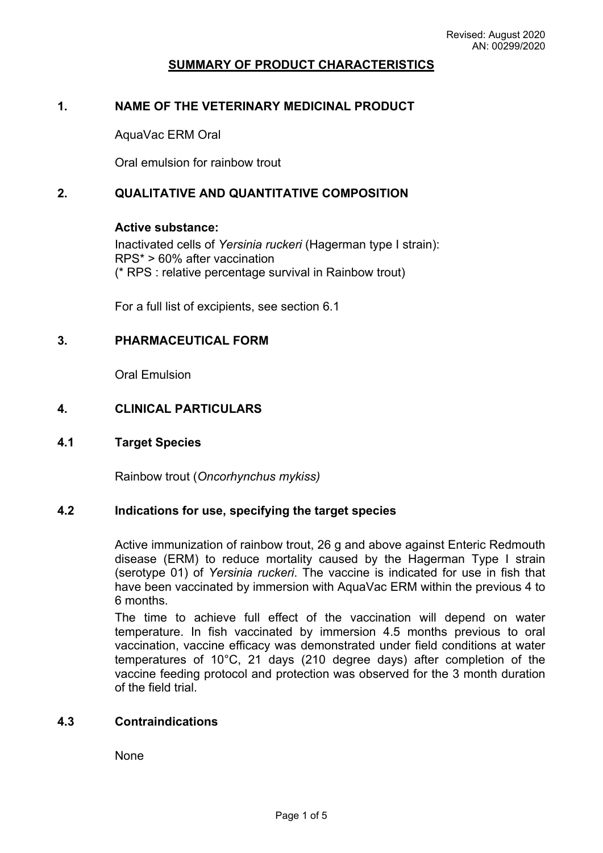### **SUMMARY OF PRODUCT CHARACTERISTICS**

### **1. NAME OF THE VETERINARY MEDICINAL PRODUCT**

AquaVac ERM Oral

Oral emulsion for rainbow trout

### **2. QUALITATIVE AND QUANTITATIVE COMPOSITION**

#### **Active substance:**

Inactivated cells of *Yersinia ruckeri* (Hagerman type I strain): RPS\* > 60% after vaccination (\* RPS : relative percentage survival in Rainbow trout)

For a full list of excipients, see section 6.1

### **3. PHARMACEUTICAL FORM**

Oral Emulsion

### **4. CLINICAL PARTICULARS**

#### **4.1 Target Species**

Rainbow trout (*Oncorhynchus mykiss)*

#### **4.2 Indications for use, specifying the target species**

Active immunization of rainbow trout, 26 g and above against Enteric Redmouth disease (ERM) to reduce mortality caused by the Hagerman Type I strain (serotype 01) of *Yersinia ruckeri*. The vaccine is indicated for use in fish that have been vaccinated by immersion with AquaVac ERM within the previous 4 to 6 months.

The time to achieve full effect of the vaccination will depend on water temperature. In fish vaccinated by immersion 4.5 months previous to oral vaccination, vaccine efficacy was demonstrated under field conditions at water temperatures of 10°C, 21 days (210 degree days) after completion of the vaccine feeding protocol and protection was observed for the 3 month duration of the field trial.

#### **4.3 Contraindications**

None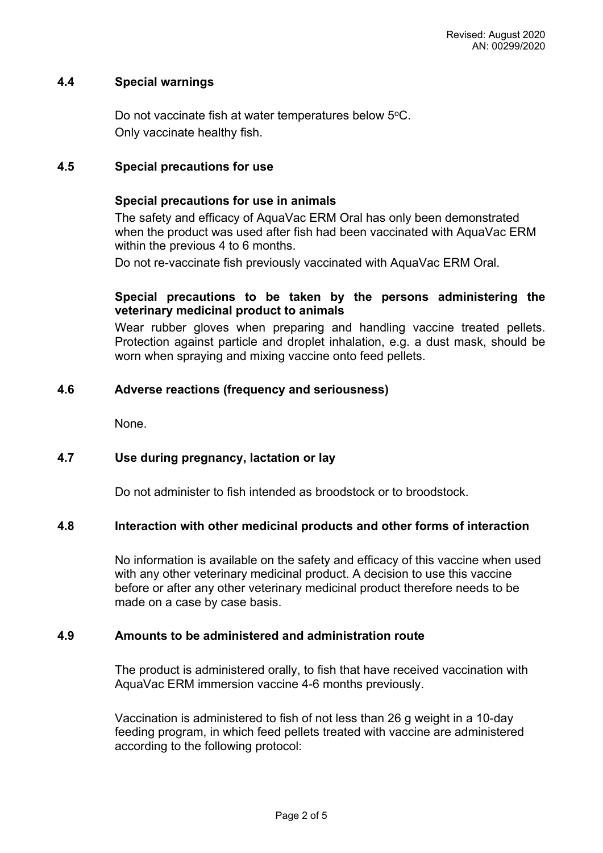### **4.4 Special warnings**

Do not vaccinate fish at water temperatures below 5°C. Only vaccinate healthy fish.

### **4.5 Special precautions for use**

#### **Special precautions for use in animals**

The safety and efficacy of AquaVac ERM Oral has only been demonstrated when the product was used after fish had been vaccinated with AquaVac ERM within the previous 4 to 6 months.

Do not re-vaccinate fish previously vaccinated with AquaVac ERM Oral.

### **Special precautions to be taken by the persons administering the veterinary medicinal product to animals**

Wear rubber gloves when preparing and handling vaccine treated pellets. Protection against particle and droplet inhalation, e.g. a dust mask, should be worn when spraying and mixing vaccine onto feed pellets.

### **4.6 Adverse reactions (frequency and seriousness)**

None.

### **4.7 Use during pregnancy, lactation or lay**

Do not administer to fish intended as broodstock or to broodstock.

#### **4.8 Interaction with other medicinal products and other forms of interaction**

No information is available on the safety and efficacy of this vaccine when used with any other veterinary medicinal product. A decision to use this vaccine before or after any other veterinary medicinal product therefore needs to be made on a case by case basis.

#### **4.9 Amounts to be administered and administration route**

The product is administered orally, to fish that have received vaccination with AquaVac ERM immersion vaccine 4-6 months previously.

Vaccination is administered to fish of not less than 26 g weight in a 10-day feeding program, in which feed pellets treated with vaccine are administered according to the following protocol: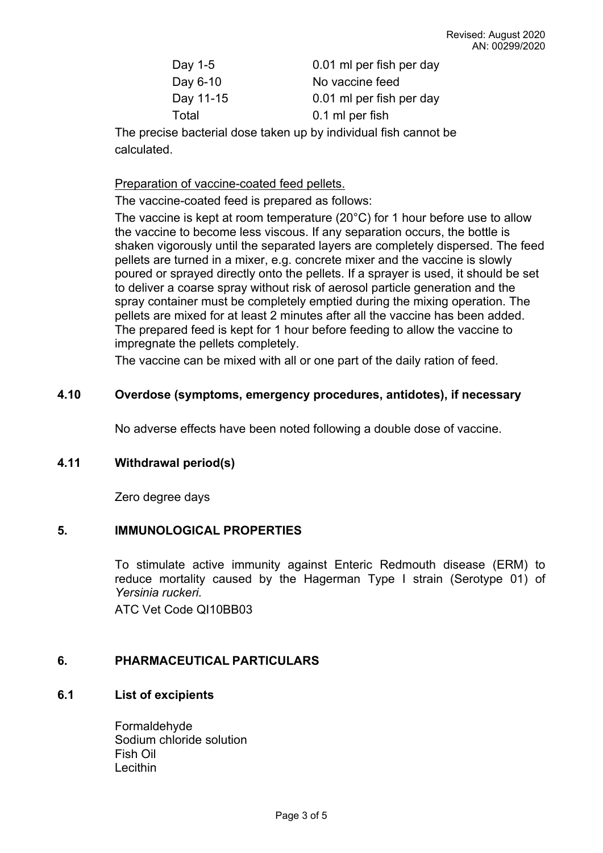| Day 1-5   | 0.01 ml per fish per day |
|-----------|--------------------------|
| Day 6-10  | No vaccine feed          |
| Day 11-15 | 0.01 ml per fish per day |
| Total     | 0.1 ml per fish          |

The precise bacterial dose taken up by individual fish cannot be calculated.

Preparation of vaccine-coated feed pellets.

The vaccine-coated feed is prepared as follows:

The vaccine is kept at room temperature (20°C) for 1 hour before use to allow the vaccine to become less viscous. If any separation occurs, the bottle is shaken vigorously until the separated layers are completely dispersed. The feed pellets are turned in a mixer, e.g. concrete mixer and the vaccine is slowly poured or sprayed directly onto the pellets. If a sprayer is used, it should be set to deliver a coarse spray without risk of aerosol particle generation and the spray container must be completely emptied during the mixing operation. The pellets are mixed for at least 2 minutes after all the vaccine has been added. The prepared feed is kept for 1 hour before feeding to allow the vaccine to impregnate the pellets completely.

The vaccine can be mixed with all or one part of the daily ration of feed.

## **4.10 Overdose (symptoms, emergency procedures, antidotes), if necessary**

No adverse effects have been noted following a double dose of vaccine.

## **4.11 Withdrawal period(s)**

Zero degree days

## **5. IMMUNOLOGICAL PROPERTIES**

To stimulate active immunity against Enteric Redmouth disease (ERM) to reduce mortality caused by the Hagerman Type I strain (Serotype 01) of *Yersinia ruckeri.*

ATC Vet Code QI10BB03

## **6. PHARMACEUTICAL PARTICULARS**

## **6.1 List of excipients**

Formaldehyde Sodium chloride solution Fish Oil **Lecithin**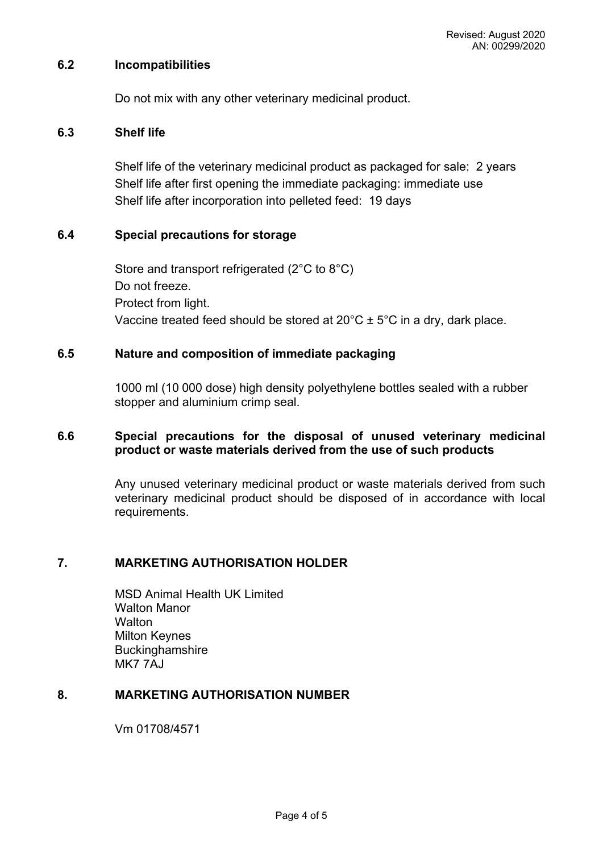### **6.2 Incompatibilities**

Do not mix with any other veterinary medicinal product.

### **6.3 Shelf life**

Shelf life of the veterinary medicinal product as packaged for sale: 2 years Shelf life after first opening the immediate packaging: immediate use Shelf life after incorporation into pelleted feed: 19 days

### **6.4 Special precautions for storage**

Store and transport refrigerated (2°C to 8°C) Do not freeze. Protect from light. Vaccine treated feed should be stored at  $20^{\circ}$ C  $\pm$  5°C in a dry, dark place.

### **6.5 Nature and composition of immediate packaging**

1000 ml (10 000 dose) high density polyethylene bottles sealed with a rubber stopper and aluminium crimp seal.

### **6.6 Special precautions for the disposal of unused veterinary medicinal product or waste materials derived from the use of such products**

Any unused veterinary medicinal product or waste materials derived from such veterinary medicinal product should be disposed of in accordance with local requirements.

## **7. MARKETING AUTHORISATION HOLDER**

MSD Animal Health UK Limited Walton Manor **Walton** Milton Keynes **Buckinghamshire** MK7 7AJ

## **8. MARKETING AUTHORISATION NUMBER**

Vm 01708/4571